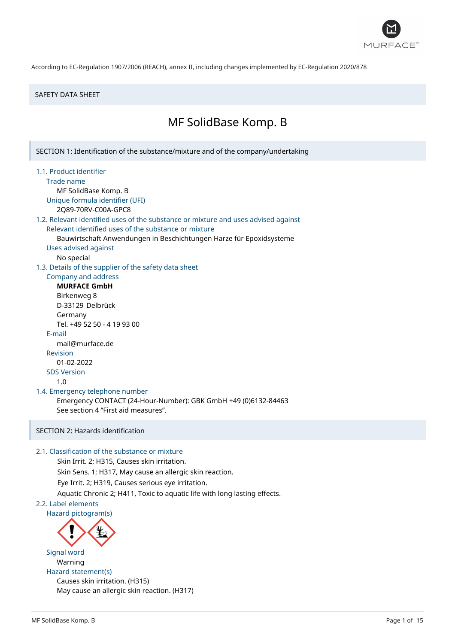

### SAFETY DATA SHEET

## MF SolidBase Komp. B

SECTION 1: Identification of the substance/mixture and of the company/undertaking

### 1.1. Product identifier

Trade name

MF SolidBase Komp. B Unique formula identifier (UFI)

2Q89-70RV-C00A-GPC8

## 1.2. Relevant identified uses of the substance or mixture and uses advised against Relevant identified uses of the substance or mixture

Bauwirtschaft Anwendungen in Beschichtungen Harze für Epoxidsysteme

Uses advised against

No special

1.3. Details of the supplier of the safety data sheet

### Company and address **MURFACE GmbH**

Birkenweg 8 D-33129 Delbrück Germany Tel. +49 52 50 - 4 19 93 00 E-mail mail@murface.de Revision 01-02-2022 SDS Version 1.0

## 1.4. Emergency telephone number

Emergency CONTACT (24-Hour-Number): GBK GmbH +49 (0)6132-84463 See section 4 "First aid measures".

## SECTION 2: Hazards identification

## 2.1. Classification of the substance or mixture

Skin Irrit. 2; H315, Causes skin irritation. Skin Sens. 1; H317, May cause an allergic skin reaction. Eye Irrit. 2; H319, Causes serious eye irritation. Aquatic Chronic 2; H411, Toxic to aquatic life with long lasting effects. 2.2. Label elements



Signal word Warning Hazard statement(s) Causes skin irritation. (H315) May cause an allergic skin reaction. (H317)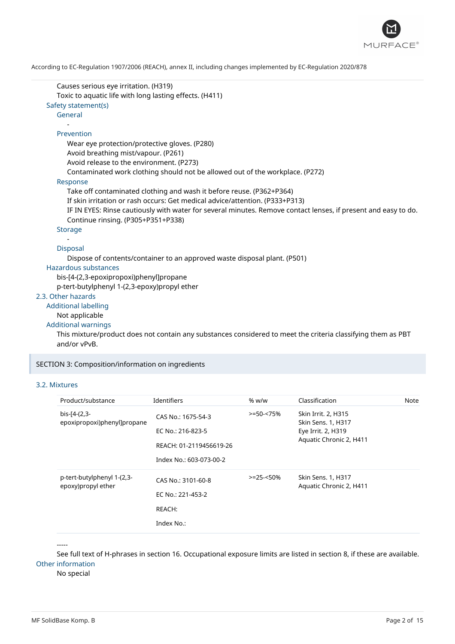

Causes serious eye irritation. (H319) Toxic to aquatic life with long lasting effects. (H411) Safety statement(s) General - Prevention Wear eye protection/protective gloves. (P280) Avoid breathing mist/vapour. (P261) Avoid release to the environment. (P273) Contaminated work clothing should not be allowed out of the workplace. (P272) Response Take off contaminated clothing and wash it before reuse. (P362+P364) If skin irritation or rash occurs: Get medical advice/attention. (P333+P313) IF IN EYES: Rinse cautiously with water for several minutes. Remove contact lenses, if present and easy to do. Continue rinsing. (P305+P351+P338) Storage - Disposal Dispose of contents/container to an approved waste disposal plant. (P501) Hazardous substances bis-[4-(2,3-epoxipropoxi)phenyl]propane p-tert-butylphenyl 1-(2,3-epoxy)propyl ether 2.3. Other hazards Additional labelling Not applicable Additional warnings

This mixture/product does not contain any substances considered to meet the criteria classifying them as PBT and/or vPvB.

SECTION 3: Composition/information on ingredients

### 3.2. Mixtures

| Product/substance                                | Identifiers                                                                                   | % w/w          | Classification                                                                             | Note |
|--------------------------------------------------|-----------------------------------------------------------------------------------------------|----------------|--------------------------------------------------------------------------------------------|------|
| bis-[4-(2,3-<br>epoxipropoxi)phenyl]propane      | CAS No.: 1675-54-3<br>EC No.: 216-823-5<br>REACH: 01-2119456619-26<br>Index No.: 603-073-00-2 | $> = 50 - 75%$ | Skin Irrit. 2, H315<br>Skin Sens. 1, H317<br>Eye Irrit. 2, H319<br>Aquatic Chronic 2, H411 |      |
| p-tert-butylphenyl 1-(2,3-<br>epoxy)propyl ether | CAS No.: 3101-60-8<br>EC No.: 221-453-2<br>REACH:<br>Index No.:                               | $> = 25 - 50%$ | Skin Sens. 1, H317<br>Aquatic Chronic 2, H411                                              |      |

-----

See full text of H-phrases in section 16. Occupational exposure limits are listed in section 8, if these are available. Other information

No special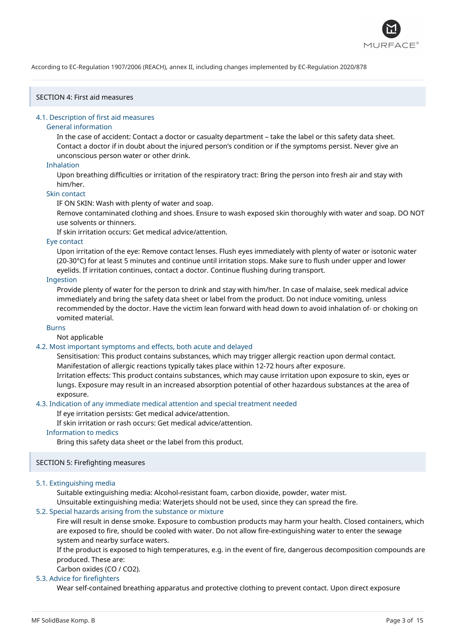

## SECTION 4: First aid measures

### 4.1. Description of first aid measures

### General information

In the case of accident: Contact a doctor or casualty department – take the label or this safety data sheet. Contact a doctor if in doubt about the injured person's condition or if the symptoms persist. Never give an unconscious person water or other drink.

### Inhalation

Upon breathing difficulties or irritation of the respiratory tract: Bring the person into fresh air and stay with him/her.

### Skin contact

IF ON SKIN: Wash with plenty of water and soap.

Remove contaminated clothing and shoes. Ensure to wash exposed skin thoroughly with water and soap. DO NOT use solvents or thinners.

If skin irritation occurs: Get medical advice/attention.

### Eye contact

Upon irritation of the eye: Remove contact lenses. Flush eyes immediately with plenty of water or isotonic water (20-30°C) for at least 5 minutes and continue until irritation stops. Make sure to flush under upper and lower eyelids. If irritation continues, contact a doctor. Continue flushing during transport.

## Ingestion

Provide plenty of water for the person to drink and stay with him/her. In case of malaise, seek medical advice immediately and bring the safety data sheet or label from the product. Do not induce vomiting, unless recommended by the doctor. Have the victim lean forward with head down to avoid inhalation of- or choking on vomited material.

### Burns

## Not applicable

## 4.2. Most important symptoms and effects, both acute and delayed

Sensitisation: This product contains substances, which may trigger allergic reaction upon dermal contact. Manifestation of allergic reactions typically takes place within 12-72 hours after exposure.

Irritation effects: This product contains substances, which may cause irritation upon exposure to skin, eyes or lungs. Exposure may result in an increased absorption potential of other hazardous substances at the area of exposure.

### 4.3. Indication of any immediate medical attention and special treatment needed

If eye irritation persists: Get medical advice/attention.

If skin irritation or rash occurs: Get medical advice/attention.

## Information to medics

Bring this safety data sheet or the label from this product.

## SECTION 5: Firefighting measures

## 5.1. Extinguishing media

Suitable extinguishing media: Alcohol-resistant foam, carbon dioxide, powder, water mist.

Unsuitable extinguishing media: Waterjets should not be used, since they can spread the fire.

## 5.2. Special hazards arising from the substance or mixture

Fire will result in dense smoke. Exposure to combustion products may harm your health. Closed containers, which are exposed to fire, should be cooled with water. Do not allow fire-extinguishing water to enter the sewage system and nearby surface waters.

If the product is exposed to high temperatures, e.g. in the event of fire, dangerous decomposition compounds are produced. These are:

Carbon oxides (CO / CO2).

### 5.3. Advice for firefighters

Wear self-contained breathing apparatus and protective clothing to prevent contact. Upon direct exposure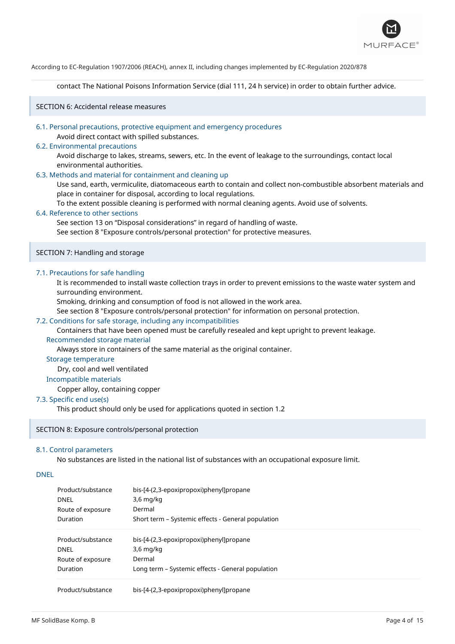

contact The National Poisons Information Service (dial 111, 24 h service) in order to obtain further advice.

SECTION 6: Accidental release measures

### 6.1. Personal precautions, protective equipment and emergency procedures

Avoid direct contact with spilled substances.

## 6.2. Environmental precautions

Avoid discharge to lakes, streams, sewers, etc. In the event of leakage to the surroundings, contact local environmental authorities.

## 6.3. Methods and material for containment and cleaning up

Use sand, earth, vermiculite, diatomaceous earth to contain and collect non-combustible absorbent materials and place in container for disposal, according to local regulations.

To the extent possible cleaning is performed with normal cleaning agents. Avoid use of solvents.

### 6.4. Reference to other sections

See section 13 on "Disposal considerations" in regard of handling of waste.

See section 8 "Exposure controls/personal protection" for protective measures.

### SECTION 7: Handling and storage

### 7.1. Precautions for safe handling

It is recommended to install waste collection trays in order to prevent emissions to the waste water system and surrounding environment.

Smoking, drinking and consumption of food is not allowed in the work area.

See section 8 "Exposure controls/personal protection" for information on personal protection.

### 7.2. Conditions for safe storage, including any incompatibilities

Containers that have been opened must be carefully resealed and kept upright to prevent leakage.

### Recommended storage material

Always store in containers of the same material as the original container.

### Storage temperature

Dry, cool and well ventilated

### Incompatible materials

Copper alloy, containing copper

## 7.3. Specific end use(s)

This product should only be used for applications quoted in section 1.2

### SECTION 8: Exposure controls/personal protection

### 8.1. Control parameters

No substances are listed in the national list of substances with an occupational exposure limit.

### DNEL

| Product/substance<br><b>DNEL</b> | bis-[4-(2,3-epoxipropoxi)phenyl]propane<br>$3.6 \text{ mg/kg}$ |
|----------------------------------|----------------------------------------------------------------|
| Route of exposure                | Dermal                                                         |
| Duration                         | Short term – Systemic effects - General population             |
| Product/substance                | bis-[4-(2,3-epoxipropoxi)phenyl]propane                        |
| <b>DNEL</b>                      | $3.6$ mg/kg                                                    |
| Route of exposure                | Dermal                                                         |
| Duration                         | Long term – Systemic effects - General population              |
| Product/substance                | bis-[4-(2,3-epoxipropoxi)phenyl]propane                        |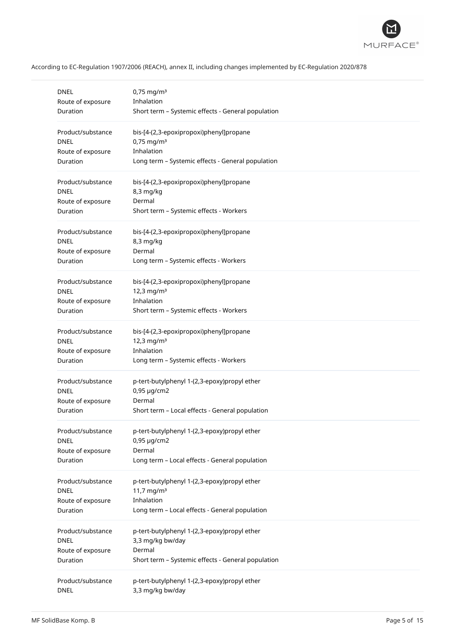

| <b>DNEL</b>       | $0,75$ mg/m <sup>3</sup>                           |
|-------------------|----------------------------------------------------|
| Route of exposure | Inhalation                                         |
| Duration          | Short term - Systemic effects - General population |
| Product/substance | bis-[4-(2,3-epoxipropoxi)phenyl]propane            |
| <b>DNEL</b>       | $0,75$ mg/m <sup>3</sup>                           |
| Route of exposure | Inhalation                                         |
| Duration          | Long term - Systemic effects - General population  |
| Product/substance | bis-[4-(2,3-epoxipropoxi)phenyl]propane            |
| <b>DNEL</b>       | 8,3 mg/kg                                          |
| Route of exposure | Dermal                                             |
| Duration          | Short term - Systemic effects - Workers            |
| Product/substance | bis-[4-(2,3-epoxipropoxi)phenyl]propane            |
| <b>DNEL</b>       | 8,3 mg/kg                                          |
| Route of exposure | Dermal                                             |
| Duration          | Long term - Systemic effects - Workers             |
| Product/substance | bis-[4-(2,3-epoxipropoxi)phenyl]propane            |
| DNEL              | $12,3$ mg/m <sup>3</sup>                           |
| Route of exposure | Inhalation                                         |
| Duration          | Short term - Systemic effects - Workers            |
| Product/substance | bis-[4-(2,3-epoxipropoxi)phenyl]propane            |
| <b>DNEL</b>       | $12,3$ mg/m <sup>3</sup>                           |
| Route of exposure | Inhalation                                         |
| Duration          | Long term - Systemic effects - Workers             |
| Product/substance | p-tert-butylphenyl 1-(2,3-epoxy)propyl ether       |
| DNEL              | 0,95 µg/cm2                                        |
| Route of exposure | Dermal                                             |
| Duration          | Short term - Local effects - General population    |
| Product/substance | p-tert-butylphenyl 1-(2,3-epoxy)propyl ether       |
| <b>DNEL</b>       | $0,95 \mu g/cm2$                                   |
| Route of exposure | Dermal                                             |
| Duration          | Long term - Local effects - General population     |
| Product/substance | p-tert-butylphenyl 1-(2,3-epoxy)propyl ether       |
| <b>DNEL</b>       | 11,7 mg/m <sup>3</sup>                             |
| Route of exposure | Inhalation                                         |
| Duration          | Long term - Local effects - General population     |
| Product/substance | p-tert-butylphenyl 1-(2,3-epoxy)propyl ether       |
| <b>DNEL</b>       | 3,3 mg/kg bw/day                                   |
| Route of exposure | Dermal                                             |
| Duration          | Short term - Systemic effects - General population |
| Product/substance | p-tert-butylphenyl 1-(2,3-epoxy)propyl ether       |
| <b>DNEL</b>       | 3,3 mg/kg bw/day                                   |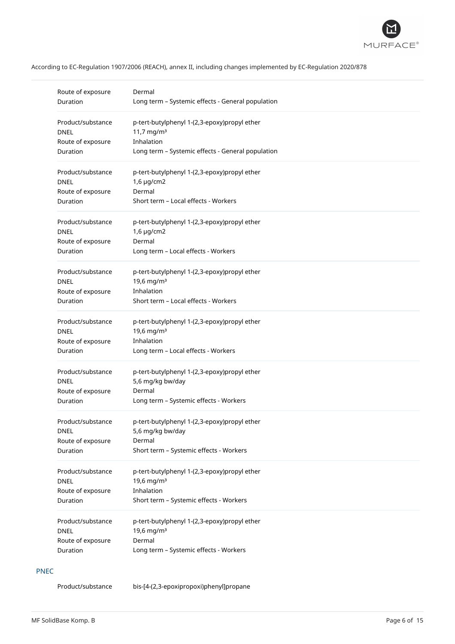

| Route of exposure | Dermal                                            |
|-------------------|---------------------------------------------------|
| Duration          | Long term - Systemic effects - General population |
| Product/substance | p-tert-butylphenyl 1-(2,3-epoxy)propyl ether      |
| <b>DNEL</b>       | 11,7 mg/m <sup>3</sup>                            |
| Route of exposure | Inhalation                                        |
| Duration          | Long term - Systemic effects - General population |
| Product/substance | p-tert-butylphenyl 1-(2,3-epoxy)propyl ether      |
| <b>DNEL</b>       | $1,6 \mu$ g/cm2                                   |
| Route of exposure | Dermal                                            |
| Duration          | Short term - Local effects - Workers              |
| Product/substance | p-tert-butylphenyl 1-(2,3-epoxy)propyl ether      |
| <b>DNEL</b>       | $1,6 \mu g/cm2$                                   |
| Route of exposure | Dermal                                            |
| Duration          | Long term - Local effects - Workers               |
| Product/substance | p-tert-butylphenyl 1-(2,3-epoxy)propyl ether      |
| <b>DNEL</b>       | 19,6 mg/m <sup>3</sup>                            |
| Route of exposure | Inhalation                                        |
| Duration          | Short term - Local effects - Workers              |
| Product/substance | p-tert-butylphenyl 1-(2,3-epoxy)propyl ether      |
| <b>DNEL</b>       | 19,6 mg/m <sup>3</sup>                            |
| Route of exposure | Inhalation                                        |
| Duration          | Long term - Local effects - Workers               |
| Product/substance | p-tert-butylphenyl 1-(2,3-epoxy)propyl ether      |
| <b>DNEL</b>       | 5,6 mg/kg bw/day                                  |
| Route of exposure | Dermal                                            |
| Duration          | Long term - Systemic effects - Workers            |
| Product/substance | p-tert-butylphenyl 1-(2,3-epoxy)propyl ether      |
| <b>DNEL</b>       | 5,6 mg/kg bw/day                                  |
| Route of exposure | Dermal                                            |
| Duration          | Short term - Systemic effects - Workers           |
| Product/substance | p-tert-butylphenyl 1-(2,3-epoxy)propyl ether      |
| <b>DNEL</b>       | 19,6 mg/m <sup>3</sup>                            |
| Route of exposure | Inhalation                                        |
| Duration          | Short term - Systemic effects - Workers           |
| Product/substance | p-tert-butylphenyl 1-(2,3-epoxy)propyl ether      |
| <b>DNEL</b>       | 19,6 mg/m <sup>3</sup>                            |
| Route of exposure | Dermal                                            |
| Duration          | Long term - Systemic effects - Workers            |

## PNEC

Product/substance bis-[4-(2,3-epoxipropoxi)phenyl]propane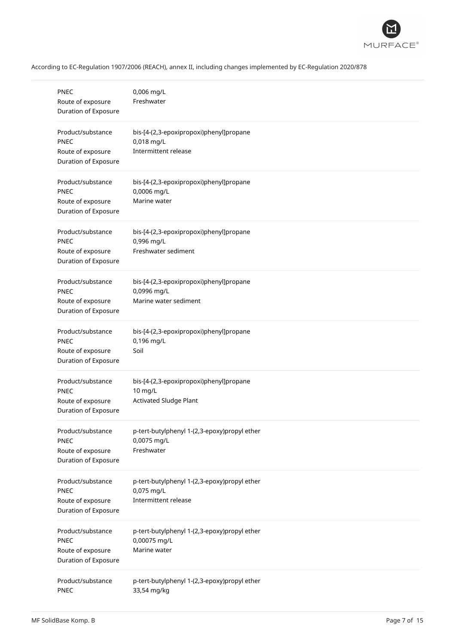

| <b>PNEC</b><br>Route of exposure<br>Duration of Exposure                      | 0,006 mg/L<br>Freshwater                                                            |
|-------------------------------------------------------------------------------|-------------------------------------------------------------------------------------|
| Product/substance<br>PNEC<br>Route of exposure<br>Duration of Exposure        | bis-[4-(2,3-epoxipropoxi)phenyl]propane<br>0,018 mg/L<br>Intermittent release       |
| Product/substance<br><b>PNEC</b><br>Route of exposure<br>Duration of Exposure | bis-[4-(2,3-epoxipropoxi)phenyl]propane<br>0,0006 mg/L<br>Marine water              |
| Product/substance<br><b>PNEC</b><br>Route of exposure<br>Duration of Exposure | bis-[4-(2,3-epoxipropoxi)phenyl]propane<br>0,996 mg/L<br>Freshwater sediment        |
| Product/substance<br><b>PNEC</b><br>Route of exposure<br>Duration of Exposure | bis-[4-(2,3-epoxipropoxi)phenyl]propane<br>0,0996 mg/L<br>Marine water sediment     |
| Product/substance<br><b>PNEC</b><br>Route of exposure<br>Duration of Exposure | bis-[4-(2,3-epoxipropoxi)phenyl]propane<br>0,196 mg/L<br>Soil                       |
| Product/substance<br><b>PNEC</b><br>Route of exposure<br>Duration of Exposure | bis-[4-(2,3-epoxipropoxi)phenyl]propane<br>10 mg/L<br><b>Activated Sludge Plant</b> |
| Product/substance<br><b>PNEC</b><br>Route of exposure<br>Duration of Exposure | p-tert-butylphenyl 1-(2,3-epoxy)propyl ether<br>0,0075 mg/L<br>Freshwater           |
| Product/substance<br>PNEC<br>Route of exposure<br>Duration of Exposure        | p-tert-butylphenyl 1-(2,3-epoxy)propyl ether<br>0,075 mg/L<br>Intermittent release  |
| Product/substance<br>PNEC<br>Route of exposure<br>Duration of Exposure        | p-tert-butylphenyl 1-(2,3-epoxy)propyl ether<br>0,00075 mg/L<br>Marine water        |
| Product/substance<br><b>PNEC</b>                                              | p-tert-butylphenyl 1-(2,3-epoxy)propyl ether<br>33,54 mg/kg                         |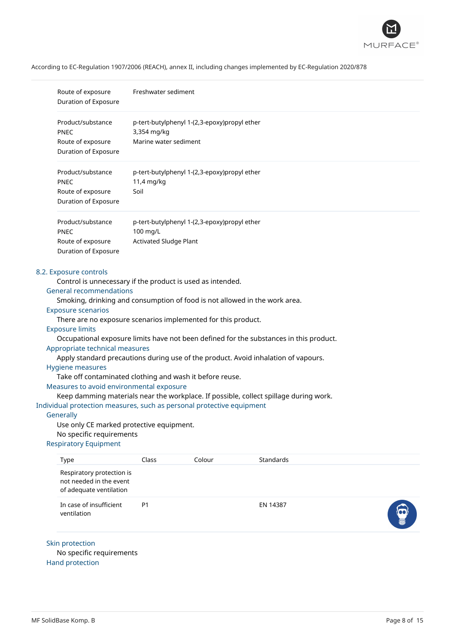

| Route of exposure<br>Duration of Exposure                                                                                                                                                                                                                                                                                                                                                                                                                                                                                                                                                                                                                                                                                                                                             | Freshwater sediment                       |                                              |                                                                                                                                                                                 |  |
|---------------------------------------------------------------------------------------------------------------------------------------------------------------------------------------------------------------------------------------------------------------------------------------------------------------------------------------------------------------------------------------------------------------------------------------------------------------------------------------------------------------------------------------------------------------------------------------------------------------------------------------------------------------------------------------------------------------------------------------------------------------------------------------|-------------------------------------------|----------------------------------------------|---------------------------------------------------------------------------------------------------------------------------------------------------------------------------------|--|
| Product/substance<br><b>PNEC</b><br>Route of exposure<br>Duration of Exposure                                                                                                                                                                                                                                                                                                                                                                                                                                                                                                                                                                                                                                                                                                         | 3,354 mg/kg<br>Marine water sediment      | p-tert-butylphenyl 1-(2,3-epoxy)propyl ether |                                                                                                                                                                                 |  |
| Product/substance<br><b>PNEC</b><br>Route of exposure<br>Duration of Exposure                                                                                                                                                                                                                                                                                                                                                                                                                                                                                                                                                                                                                                                                                                         | 11,4 mg/kg<br>Soil                        | p-tert-butylphenyl 1-(2,3-epoxy)propyl ether |                                                                                                                                                                                 |  |
| Product/substance<br><b>PNEC</b><br>Route of exposure<br>Duration of Exposure                                                                                                                                                                                                                                                                                                                                                                                                                                                                                                                                                                                                                                                                                                         | 100 mg/L<br><b>Activated Sludge Plant</b> | p-tert-butylphenyl 1-(2,3-epoxy)propyl ether |                                                                                                                                                                                 |  |
| 8.2. Exposure controls<br>Control is unnecessary if the product is used as intended.<br><b>General recommendations</b><br>Smoking, drinking and consumption of food is not allowed in the work area.<br><b>Exposure scenarios</b><br>There are no exposure scenarios implemented for this product.<br><b>Exposure limits</b><br>Appropriate technical measures<br>Apply standard precautions during use of the product. Avoid inhalation of vapours.<br><b>Hygiene measures</b><br>Take off contaminated clothing and wash it before reuse.<br>Measures to avoid environmental exposure<br>Individual protection measures, such as personal protective equipment<br>Generally<br>Use only CE marked protective equipment.<br>No specific requirements<br><b>Respiratory Equipment</b> |                                           |                                              | Occupational exposure limits have not been defined for the substances in this product.<br>Keep damming materials near the workplace. If possible, collect spillage during work. |  |
| Type<br>Respiratory protection is<br>not needed in the event<br>of adequate ventilation                                                                                                                                                                                                                                                                                                                                                                                                                                                                                                                                                                                                                                                                                               | Class                                     | Colour                                       | Standards                                                                                                                                                                       |  |
| In case of insufficient<br>ventilation                                                                                                                                                                                                                                                                                                                                                                                                                                                                                                                                                                                                                                                                                                                                                | P <sub>1</sub>                            |                                              | EN 14387                                                                                                                                                                        |  |

# Skin protection

No specific requirements Hand protection

 $\bullet$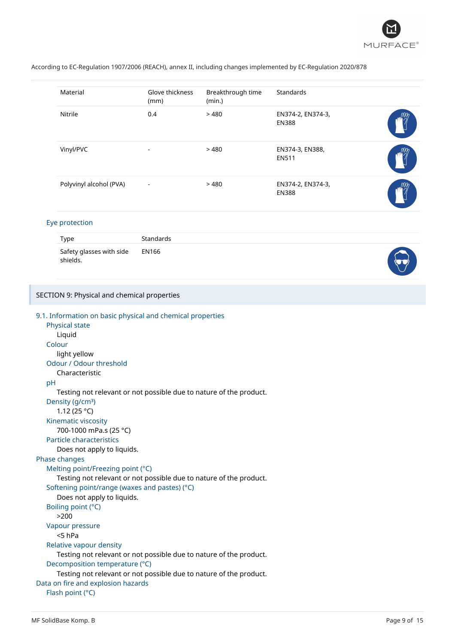

| Material                | Glove thickness<br>(mm)  | Breakthrough time<br>(min.) | <b>Standards</b>                  |  |
|-------------------------|--------------------------|-----------------------------|-----------------------------------|--|
| Nitrile                 | 0.4                      | >480                        | EN374-2, EN374-3,<br><b>EN388</b> |  |
| Vinyl/PVC               | -                        | >480                        | EN374-3, EN388,<br><b>EN511</b>   |  |
| Polyvinyl alcohol (PVA) | $\overline{\phantom{a}}$ | >480                        | EN374-2, EN374-3,<br><b>EN388</b> |  |

### Eye protection

SECTION 9: Physical and chemical properties

| Type                                 | <b>Standards</b> |  |
|--------------------------------------|------------------|--|
| Safety glasses with side<br>shields. | EN166            |  |

```
9.1. Information on basic physical and chemical properties
   Physical state
      Liquid
   Colour
      light yellow
   Odour / Odour threshold
      Characteristic
  pH
      Testing not relevant or not possible due to nature of the product.
   Density (g/cm<sup>3</sup>)
      1.12 (25 °C)
   Kinematic viscosity
      700-1000 mPa.s (25 °C)
   Particle characteristics
      Does not apply to liquids.
Phase changes
   Melting point/Freezing point (°C)
      Testing not relevant or not possible due to nature of the product.
  Softening point/range (waxes and pastes) (°C)
      Does not apply to liquids.
   Boiling point (°C)
      >200
  Vapour pressure
      <5 hPa
   Relative vapour density
      Testing not relevant or not possible due to nature of the product.
   Decomposition temperature (°C)
      Testing not relevant or not possible due to nature of the product.
Data on fire and explosion hazards
   Flash point (°C)
```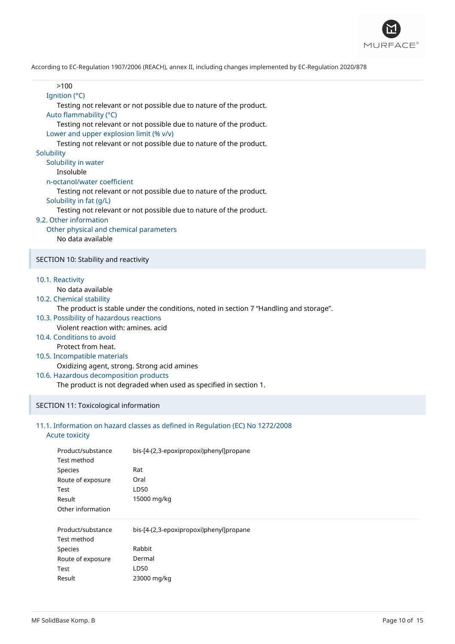

| >100<br>Ignition (°C)<br>Testing not relevant or not possible due to nature of the product.<br>Auto flammability (°C)<br>Testing not relevant or not possible due to nature of the product.<br>Lower and upper explosion limit (% v/v)<br>Testing not relevant or not possible due to nature of the product.<br>Solubility<br>Solubility in water<br>Insoluble<br>n-octanol/water coefficient<br>Testing not relevant or not possible due to nature of the product.<br>Solubility in fat (g/L)<br>Testing not relevant or not possible due to nature of the product.<br>9.2. Other information<br>Other physical and chemical parameters<br>No data available |
|---------------------------------------------------------------------------------------------------------------------------------------------------------------------------------------------------------------------------------------------------------------------------------------------------------------------------------------------------------------------------------------------------------------------------------------------------------------------------------------------------------------------------------------------------------------------------------------------------------------------------------------------------------------|
| SECTION 10: Stability and reactivity                                                                                                                                                                                                                                                                                                                                                                                                                                                                                                                                                                                                                          |
| 10.1. Reactivity<br>No data available<br>10.2. Chemical stability<br>The product is stable under the conditions, noted in section 7 "Handling and storage".<br>10.3. Possibility of hazardous reactions<br>Violent reaction with: amines. acid<br>10.4. Conditions to avoid<br>Protect from heat.<br>10.5. Incompatible materials<br>Oxidizing agent, strong. Strong acid amines<br>10.6. Hazardous decomposition products<br>The product is not degraded when used as specified in section 1.                                                                                                                                                                |
| SECTION 11: Toxicological information                                                                                                                                                                                                                                                                                                                                                                                                                                                                                                                                                                                                                         |

## 11.1. Information on hazard classes as defined in Regulation (EC) No 1272/2008

## Acute toxicity

I

| Product/substance | bis-[4-(2,3-epoxipropoxi)phenyl]propane |
|-------------------|-----------------------------------------|
| Test method       |                                         |
| <b>Species</b>    | Rat                                     |
| Route of exposure | Oral                                    |
| Test              | LD50                                    |
| Result            | 15000 mg/kg                             |
| Other information |                                         |
| Product/substance | bis-[4-(2,3-epoxipropoxi)phenyl]propane |
| Test method       |                                         |
| <b>Species</b>    | Rabbit                                  |
| Route of exposure | Dermal                                  |
| Test              | LD50                                    |
| Result            | 23000 mg/kg                             |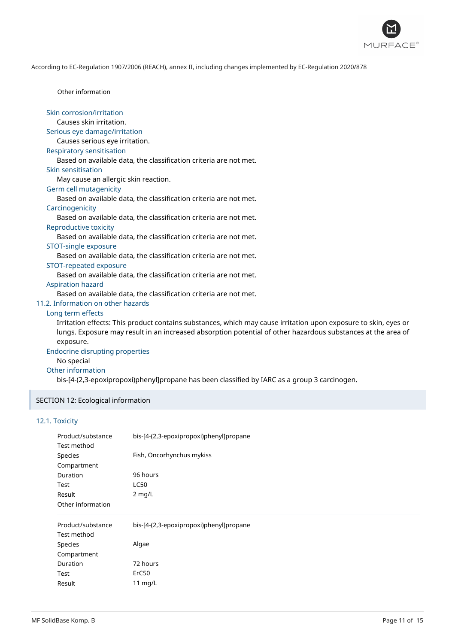

Other information

| Skin corrosion/irritation                                                                                       |  |
|-----------------------------------------------------------------------------------------------------------------|--|
| Causes skin irritation.                                                                                         |  |
| Serious eye damage/irritation                                                                                   |  |
| Causes serious eye irritation.                                                                                  |  |
| <b>Respiratory sensitisation</b>                                                                                |  |
| Based on available data, the classification criteria are not met.                                               |  |
| Skin sensitisation                                                                                              |  |
| May cause an allergic skin reaction.                                                                            |  |
| Germ cell mutagenicity                                                                                          |  |
| Based on available data, the classification criteria are not met.                                               |  |
| Carcinogenicity                                                                                                 |  |
| Based on available data, the classification criteria are not met.                                               |  |
| Reproductive toxicity                                                                                           |  |
| Based on available data, the classification criteria are not met.                                               |  |
| STOT-single exposure                                                                                            |  |
| Based on available data, the classification criteria are not met.                                               |  |
| STOT-repeated exposure                                                                                          |  |
| Based on available data, the classification criteria are not met.                                               |  |
| <b>Aspiration hazard</b>                                                                                        |  |
| Based on available data, the classification criteria are not met.                                               |  |
| 11.2. Information on other hazards                                                                              |  |
| Long term effects                                                                                               |  |
| Irritation effects: This product contains substances, which may cause irritation upon exposure to skin, eyes or |  |
| lungs. Exposure may result in an increased absorption potential of other hazardous substances at the area of    |  |

## exposure.

## Endocrine disrupting properties

No special

## Other information

bis-[4-(2,3-epoxipropoxi)phenyl]propane has been classified by IARC as a group 3 carcinogen.

## SECTION 12: Ecological information

## 12.1. Toxicity

| Product/substance | bis-[4-(2,3-epoxipropoxi)phenyl]propane |
|-------------------|-----------------------------------------|
| Test method       |                                         |
| Species           | Fish, Oncorhynchus mykiss               |
| Compartment       |                                         |
| Duration          | 96 hours                                |
| Test              | <b>LC50</b>                             |
| Result            | $2$ mg/L                                |
| Other information |                                         |
| Product/substance | bis-[4-(2,3-epoxipropoxi)phenyl]propane |
|                   |                                         |
| Test method       |                                         |
| <b>Species</b>    | Algae                                   |
| Compartment       |                                         |
| Duration          | 72 hours                                |
| Test              | ErC50                                   |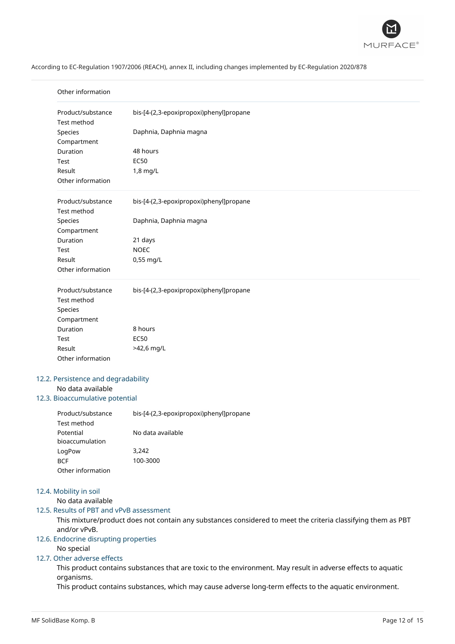

| Product/substance<br>Test method    | bis-[4-(2,3-epoxipropoxi)phenyl]propane |  |
|-------------------------------------|-----------------------------------------|--|
| Species                             | Daphnia, Daphnia magna                  |  |
| Compartment                         |                                         |  |
| Duration                            | 48 hours                                |  |
| Test                                | <b>EC50</b>                             |  |
| Result                              | 1,8 mg/L                                |  |
| Other information                   |                                         |  |
| Product/substance                   | bis-[4-(2,3-epoxipropoxi)phenyl]propane |  |
| Test method                         |                                         |  |
| Species                             | Daphnia, Daphnia magna                  |  |
| Compartment                         |                                         |  |
| Duration                            | 21 days                                 |  |
| <b>Test</b>                         | <b>NOEC</b>                             |  |
| Result<br>Other information         | 0,55 mg/L                               |  |
|                                     |                                         |  |
| Product/substance<br>Test method    | bis-[4-(2,3-epoxipropoxi)phenyl]propane |  |
| Species                             |                                         |  |
| Compartment                         |                                         |  |
| Duration                            | 8 hours                                 |  |
| Test                                | <b>EC50</b>                             |  |
| Result                              | >42,6 mg/L                              |  |
| Other information                   |                                         |  |
| 12.2. Persistence and degradability |                                         |  |

| Product/substance | bis-[4-(2,3-epoxipropoxi)phenyl]propane |  |
|-------------------|-----------------------------------------|--|
| Test method       |                                         |  |
| Potential         | No data available                       |  |
| bioaccumulation   |                                         |  |
| LogPow            | 3.242                                   |  |
| <b>BCF</b>        | 100-3000                                |  |
| Other information |                                         |  |

## 12.4. Mobility in soil

No data available

## 12.5. Results of PBT and vPvB assessment

This mixture/product does not contain any substances considered to meet the criteria classifying them as PBT and/or vPvB.

## 12.6. Endocrine disrupting properties

## No special

## 12.7. Other adverse effects

This product contains substances that are toxic to the environment. May result in adverse effects to aquatic organisms.

This product contains substances, which may cause adverse long-term effects to the aquatic environment.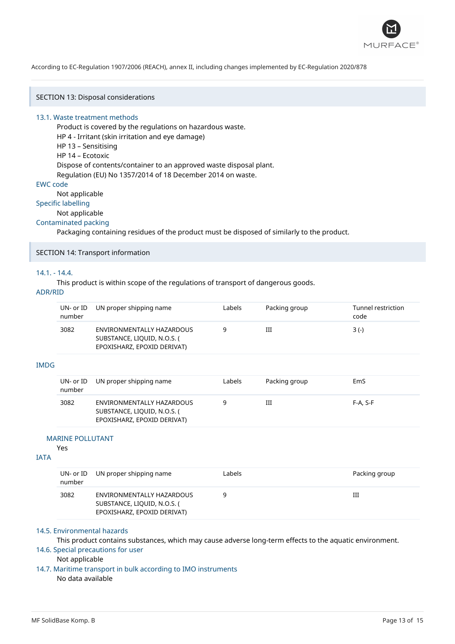

SECTION 13: Disposal considerations

### 13.1. Waste treatment methods

Product is covered by the regulations on hazardous waste. HP 4 - Irritant (skin irritation and eye damage) HP 13 – Sensitising HP 14 – Ecotoxic Dispose of contents/container to an approved waste disposal plant. Regulation (EU) No 1357/2014 of 18 December 2014 on waste.

#### EWC code

Not applicable

## Specific labelling

Not applicable

## Contaminated packing

Packaging containing residues of the product must be disposed of similarly to the product.

## SECTION 14: Transport information

## 14.1. - 14.4.

This product is within scope of the regulations of transport of dangerous goods.

## ADR/RID

| <b>IMDG</b> | $UN-$ or $ID$<br>number | UN proper shipping name                                                                 | Labels | Packing group | Tunnel restriction<br>code |
|-------------|-------------------------|-----------------------------------------------------------------------------------------|--------|---------------|----------------------------|
|             | 3082                    | ENVIRONMENTALLY HAZARDOUS<br>SUBSTANCE, LIQUID, N.O.S. (<br>EPOXISHARZ, EPOXID DERIVAT) | 9      | Ш             | $3(-)$                     |
|             |                         |                                                                                         |        |               |                            |
|             | $UN-$ or $ID$<br>number | UN proper shipping name                                                                 | Labels | Packing group | EmS                        |
|             | 3082                    | ENVIRONMENTALLY HAZARDOUS<br>SUBSTANCE, LIQUID, N.O.S. (<br>EPOXISHARZ, EPOXID DERIVAT) | 9      | Ш             | $F-A, S-F$                 |

#### MARINE POLLUTANT

Yes

## IATA

| number | UN- or ID UN proper shipping name                                                       | Labels | Packing group |
|--------|-----------------------------------------------------------------------------------------|--------|---------------|
| 3082   | ENVIRONMENTALLY HAZARDOUS<br>SUBSTANCE, LIQUID, N.O.S. (<br>EPOXISHARZ, EPOXID DERIVAT) |        | Ш             |

## 14.5. Environmental hazards

This product contains substances, which may cause adverse long-term effects to the aquatic environment. 14.6. Special precautions for user

### Not applicable

14.7. Maritime transport in bulk according to IMO instruments No data available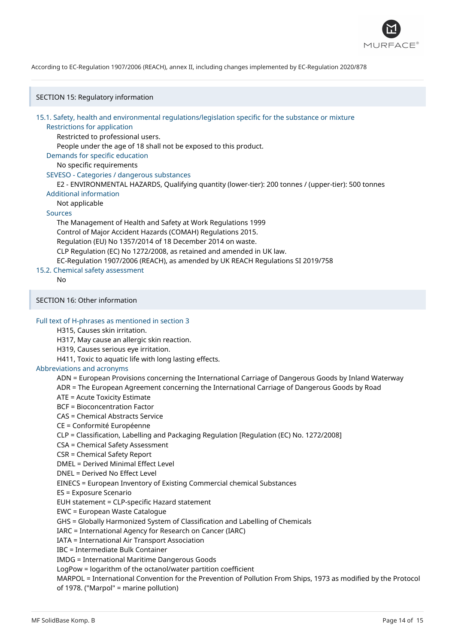

SECTION 15: Regulatory information

15.1. Safety, health and environmental regulations/legislation specific for the substance or mixture

## Restrictions for application

Restricted to professional users.

People under the age of 18 shall not be exposed to this product.

## Demands for specific education

No specific requirements

SEVESO - Categories / dangerous substances

E2 - ENVIRONMENTAL HAZARDS, Qualifying quantity (lower-tier): 200 tonnes / (upper-tier): 500 tonnes

### Additional information

Not applicable

## Sources

The Management of Health and Safety at Work Regulations 1999 Control of Major Accident Hazards (COMAH) Regulations 2015. Regulation (EU) No 1357/2014 of 18 December 2014 on waste. CLP Regulation (EC) No 1272/2008, as retained and amended in UK law. EC-Regulation 1907/2006 (REACH), as amended by UK REACH Regulations SI 2019/758

## 15.2. Chemical safety assessment

No

## SECTION 16: Other information

Full text of H-phrases as mentioned in section 3

## H315, Causes skin irritation.

H317, May cause an allergic skin reaction.

- H319, Causes serious eye irritation.
- H411, Toxic to aquatic life with long lasting effects.

### Abbreviations and acronyms

ADN = European Provisions concerning the International Carriage of Dangerous Goods by Inland Waterway

ADR = The European Agreement concerning the International Carriage of Dangerous Goods by Road

ATE = Acute Toxicity Estimate

BCF = Bioconcentration Factor

CAS = Chemical Abstracts Service

## CE = Conformité Européenne

CLP = Classification, Labelling and Packaging Regulation [Regulation (EC) No. 1272/2008]

- CSA = Chemical Safety Assessment
- CSR = Chemical Safety Report

DMEL = Derived Minimal Effect Level

DNEL = Derived No Effect Level

EINECS = European Inventory of Existing Commercial chemical Substances

ES = Exposure Scenario

EUH statement = CLP-specific Hazard statement

EWC = European Waste Catalogue

GHS = Globally Harmonized System of Classification and Labelling of Chemicals

IARC = International Agency for Research on Cancer (IARC)

IATA = International Air Transport Association

IBC = Intermediate Bulk Container

IMDG = International Maritime Dangerous Goods

LogPow = logarithm of the octanol/water partition coefficient

MARPOL = International Convention for the Prevention of Pollution From Ships, 1973 as modified by the Protocol of 1978. ("Marpol" = marine pollution)